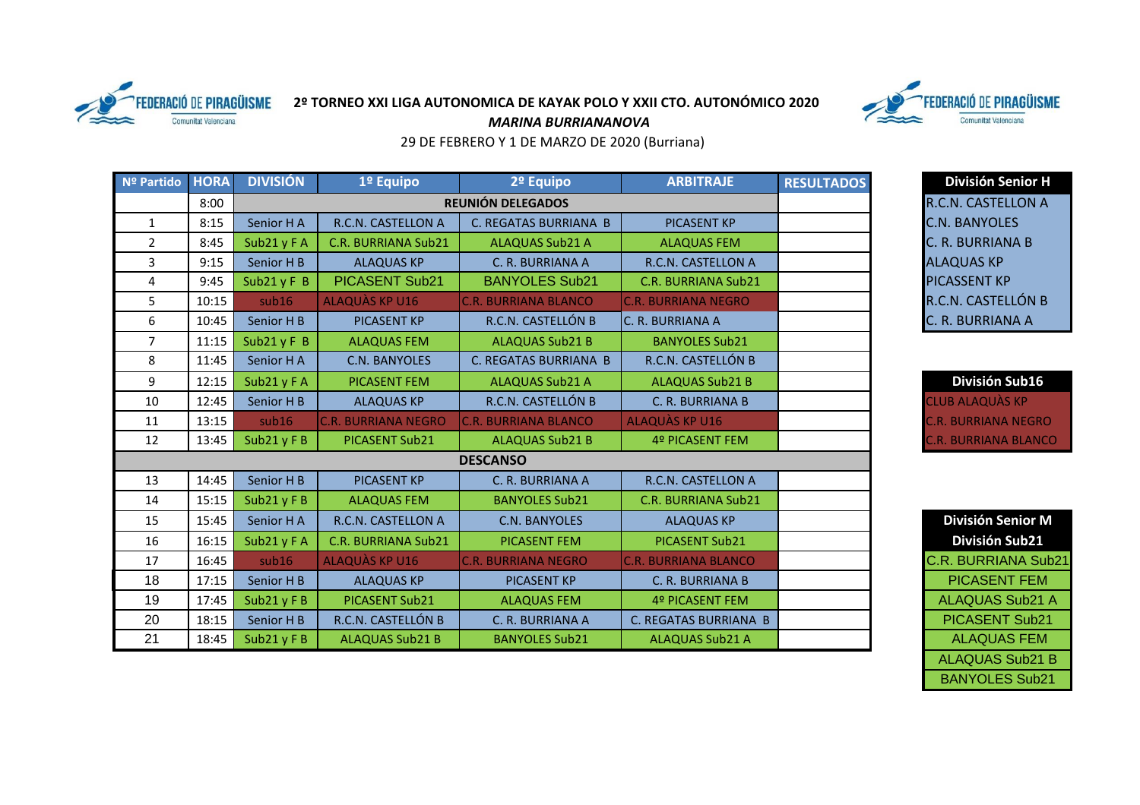

## **2º TORNEO XXI LIGA AUTONOMICA DE KAYAK POLO Y XXII CTO. AUTONÓMICO 2020**



*MARINA BURRIANANOVA*

29 DE FEBRERO Y 1 DE MARZO DE 2020 (Burriana)

| Nº Partido     | <b>HORA</b> | <b>DIVISIÓN</b> | 1º Equipo                  | 2º Equipo                    | <b>ARBITRAJE</b>             | <b>RESULTADOS</b> | <b>División Senior H</b>    |
|----------------|-------------|-----------------|----------------------------|------------------------------|------------------------------|-------------------|-----------------------------|
|                | 8:00        |                 | <b>REUNIÓN DELEGADOS</b>   |                              | R.C.N. CASTELLON A           |                   |                             |
| $\mathbf{1}$   | 8:15        | Senior H A      | R.C.N. CASTELLON A         | C. REGATAS BURRIANA B        | <b>PICASENT KP</b>           |                   | <b>C.N. BANYOLES</b>        |
| $\overline{2}$ | 8:45        | Sub21 y F A     | <b>C.R. BURRIANA Sub21</b> | <b>ALAQUAS Sub21 A</b>       | <b>ALAQUAS FEM</b>           |                   | C. R. BURRIANA B            |
| 3              | 9:15        | Senior H B      | <b>ALAQUAS KP</b>          | C. R. BURRIANA A             | R.C.N. CASTELLON A           |                   | <b>ALAQUAS KP</b>           |
| 4              | 9:45        | Sub21 $yF$ B    | <b>PICASENT Sub21</b>      | <b>BANYOLES Sub21</b>        | <b>C.R. BURRIANA Sub21</b>   |                   | <b>PICASSENT KP</b>         |
| 5              | 10:15       | sub16           | ALAQUAS KP U16             | <b>C.R. BURRIANA BLANCO</b>  | <b>C.R. BURRIANA NEGRO</b>   |                   | R.C.N. CASTELLÓN B          |
| 6              | 10:45       | Senior H B      | <b>PICASENT KP</b>         | R.C.N. CASTELLÓN B           | C. R. BURRIANA A             |                   | C. R. BURRIANA A            |
| $\overline{7}$ | 11:15       | Sub21 $yF$ B    | <b>ALAQUAS FEM</b>         | <b>ALAQUAS Sub21 B</b>       | <b>BANYOLES Sub21</b>        |                   |                             |
| 8              | 11:45       | Senior HA       | C.N. BANYOLES              | <b>C. REGATAS BURRIANA B</b> | R.C.N. CASTELLÓN B           |                   |                             |
| 9              | 12:15       | Sub21 y F A     | <b>PICASENT FEM</b>        | <b>ALAQUAS Sub21 A</b>       | <b>ALAQUAS Sub21 B</b>       |                   | División Sub16              |
| 10             | 12:45       | Senior H B      | <b>ALAQUAS KP</b>          | R.C.N. CASTELLÓN B           | C. R. BURRIANA B             |                   | <b>CLUB ALAQUÀS KP</b>      |
| 11             | 13:15       | sub16           | <b>C.R. BURRIANA NEGRO</b> | <b>C.R. BURRIANA BLANCO</b>  | <b>ALAQUÀS KP U16</b>        |                   | <b>C.R. BURRIANA NEGRO</b>  |
| 12             | 13:45       | Sub21 y F B     | PICASENT Sub21             | <b>ALAQUAS Sub21 B</b>       | 4º PICASENT FEM              |                   | <b>C.R. BURRIANA BLANCO</b> |
|                |             |                 |                            | <b>DESCANSO</b>              |                              |                   |                             |
| 13             | 14:45       | Senior H B      | <b>PICASENT KP</b>         | C. R. BURRIANA A             | R.C.N. CASTELLON A           |                   |                             |
| 14             | 15:15       | Sub21 $y$ FB    | <b>ALAQUAS FEM</b>         | <b>BANYOLES Sub21</b>        | <b>C.R. BURRIANA Sub21</b>   |                   |                             |
| 15             | 15:45       | Senior HA       | R.C.N. CASTELLON A         | C.N. BANYOLES                | <b>ALAQUAS KP</b>            |                   | <b>División Senior M</b>    |
| 16             | 16:15       | Sub21 y F A     | <b>C.R. BURRIANA Sub21</b> | <b>PICASENT FEM</b>          | PICASENT Sub21               |                   | División Sub21              |
| 17             | 16:45       | sub16           | <b>ALAQUÀS KP U16</b>      | <b>C.R. BURRIANA NEGRO</b>   | <b>C.R. BURRIANA BLANCO</b>  |                   | C.R. BURRIANA Sub21         |
| 18             | 17:15       | Senior H B      | <b>ALAQUAS KP</b>          | <b>PICASENT KP</b>           | C. R. BURRIANA B             |                   | <b>PICASENT FEM</b>         |
| 19             | 17:45       | Sub21 $y$ FB    | PICASENT Sub21             | <b>ALAQUAS FEM</b>           | 4º PICASENT FEM              |                   | <b>ALAQUAS Sub21 A</b>      |
| 20             | 18:15       | Senior H B      | R.C.N. CASTELLÓN B         | C. R. BURRIANA A             | <b>C. REGATAS BURRIANA B</b> |                   | PICASENT Sub21              |
| 21             | 18:45       | Sub21 $y$ FB    | <b>ALAQUAS Sub21 B</b>     | <b>BANYOLES Sub21</b>        | <b>ALAQUAS Sub21 A</b>       |                   | <b>ALAQUAS FEM</b>          |

| División Sub16      |
|---------------------|
| LUB ALAQUÀS KP      |
| .R. BURRIANA NEGRO  |
| .R. BURRIAÑA BLANCO |

| <b>División Senior M</b>   |  |  |  |  |  |
|----------------------------|--|--|--|--|--|
| <b>División Sub21</b>      |  |  |  |  |  |
| <b>C.R. BURRIANA Sub21</b> |  |  |  |  |  |
| PICASENT FEM               |  |  |  |  |  |
| <b>ALAQUAS Sub21 A</b>     |  |  |  |  |  |
| <b>PICASENT Sub21</b>      |  |  |  |  |  |
| <b>ALAQUAS FEM</b>         |  |  |  |  |  |
| <b>ALAQUAS Sub21 B</b>     |  |  |  |  |  |
| <b>BANYOLES Sub21</b>      |  |  |  |  |  |